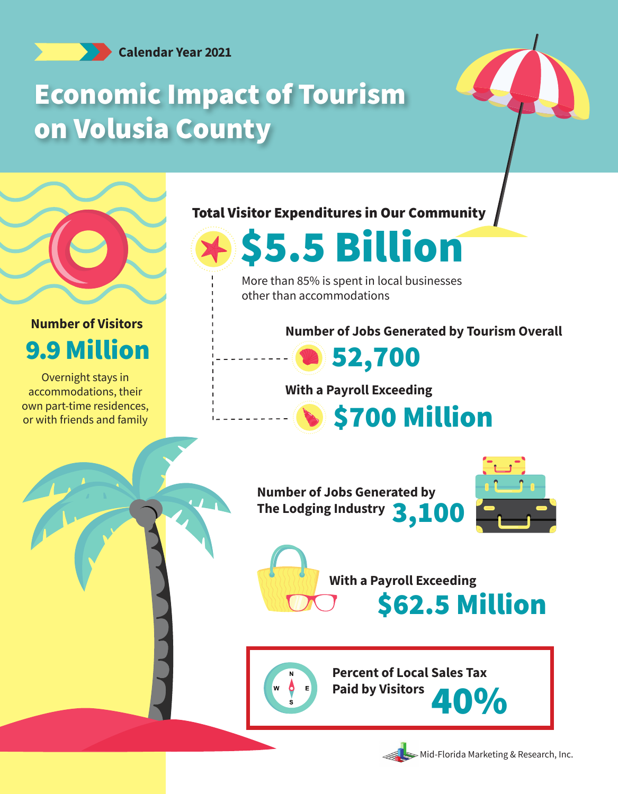**Calendar Year 2021**

## Economic Impact of Tourism on Volusia County





## **Number of Visitors** 9.9 Million

Overnight stays in accommodations, their own part-time residences, or with friends and family

Total Visitor Expenditures in Our Community



More than 85% is spent in local businesses other than accommodations

**Number of Jobs Generated by Tourism Overall**



**With a Payroll Exceeding**

**S700 Million** 





**With a Payroll Exceeding** \$62.5 Million



**Percent of Local Sales Tax**  Paid by Visitors **40%** 



Mid-Florida Marketing & Research, Inc.